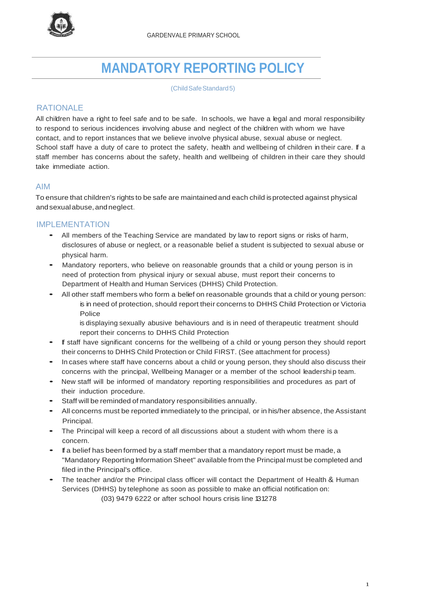

# **MANDATORY REPORTING POLICY**

(ChildSafeStandard5)

# RATIONAL F

All children have a right to feel safe and to be safe. In schools, we have a legal and moral responsibility to respond to serious incidences involving abuse and neglect of the children with whom we have contact, and to report instances that we believe involve physical abuse, sexual abuse or neglect. School staff have a duty of care to protect the safety, health and wellbeing of children in their care. If a staff member has concerns about the safety, health and wellbeing of children in their care they should take immediate action.

## AIM

To ensure that children's rights to be safe are maintained and each child isprotected against physical andsexualabuse,andneglect.

### IMPLEMENTATION

- All members of the Teaching Service are mandated by law to report signs or risks of harm, disclosures of abuse or neglect, or a reasonable belief a student is subjected to sexual abuse or physical harm.
- Mandatory reporters, who believe on reasonable grounds that <sup>a</sup> child or young person is in need of protection from physical injury or sexual abuse, must report their concerns to Department of Health and Human Services (DHHS) Child Protection.
	- All other staff members who form <sup>a</sup> belief on reasonable grounds that <sup>a</sup> child or young person: is in need of protection, should report their concerns to DHHS Child Protection or Victoria Police
		- is displaying sexually abusive behaviours and is in need of therapeutic treatment should report their concerns to DHHS Child Protection
- If staff have significant concerns for the wellbeing of <sup>a</sup> child or young person they should report their concerns to DHHS Child Protection or Child FIRST. (See attachment for process)
- In cases where staff have concerns about <sup>a</sup> child or young person, they should also discuss their concerns with the principal, Wellbeing Manager or a member of the school leadershi p team.
- New staff will be informed of mandatory reporting responsibilities and procedures as part of their induction procedure.
- Staff will be reminded of mandatory responsibilities annually.
- All concerns must be reported immediately to the principal, or in his/her absence, the Assistant Principal.
- The Principal will keep <sup>a</sup> record of all discussions about <sup>a</sup> student with whom there is <sup>a</sup> concern.
- If <sup>a</sup> belief has been formed by <sup>a</sup> staff member that <sup>a</sup> mandatory report must be made, <sup>a</sup> "Mandatory Reporting Information Sheet" available from the Principal must be completed and filed in the Principal's office.
- The teacher and/or the Principal class officer will contact the Department of Health & Human Services (DHHS) by telephone as soon as possible to make an official notification on: (03) 9479 6222 or after school hours crisis line 131278